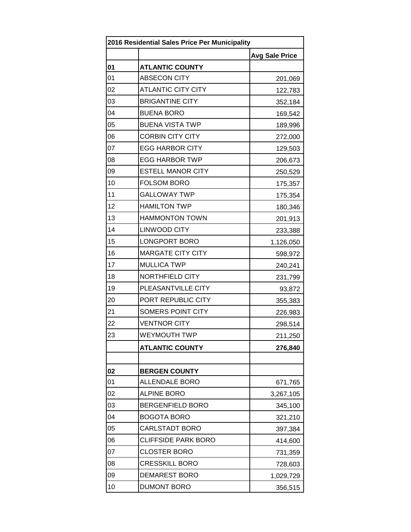| 2016 Residential Sales Price Per Municipality |                            |                       |
|-----------------------------------------------|----------------------------|-----------------------|
|                                               |                            | <b>Avg Sale Price</b> |
| 01                                            | <b>ATLANTIC COUNTY</b>     |                       |
| 01                                            | <b>ABSECON CITY</b>        | 201,069               |
| 02                                            | <b>ATLANTIC CITY CITY</b>  | 122,783               |
| 03                                            | <b>BRIGANTINE CITY</b>     | 352,184               |
| 04                                            | <b>BUENA BORO</b>          | 169,542               |
| 05                                            | <b>BUENA VISTA TWP</b>     | 189,996               |
| 06                                            | <b>CORBIN CITY CITY</b>    | 272,000               |
| 07                                            | <b>EGG HARBOR CITY</b>     | 129,503               |
| 08                                            | <b>EGG HARBOR TWP</b>      | 206,673               |
| 09                                            | <b>ESTELL MANOR CITY</b>   | 250,529               |
| 10                                            | <b>FOLSOM BORO</b>         | 175,357               |
| 11                                            | <b>GALLOWAY TWP</b>        | 175,354               |
| 12                                            | <b>HAMILTON TWP</b>        | 180,346               |
| 13                                            | <b>HAMMONTON TOWN</b>      | 201,913               |
| 14                                            | <b>LINWOOD CITY</b>        | 233,388               |
| 15                                            | LONGPORT BORO              | 1,126,050             |
| 16                                            | <b>MARGATE CITY CITY</b>   | 598,972               |
| 17                                            | <b>MULLICA TWP</b>         | 240,241               |
| 18                                            | NORTHFIELD CITY            | 231,799               |
| 19                                            | PLEASANTVILLE CITY         | 93,872                |
| 20                                            | PORT REPUBLIC CITY         | 355,383               |
| 21                                            | SOMERS POINT CITY          | 226,983               |
| 22                                            | <b>VENTNOR CITY</b>        | 298,514               |
| 23                                            | WEYMOUTH TWP               | 211,250               |
|                                               | <b>ATLANTIC COUNTY</b>     | 276,840               |
|                                               |                            |                       |
| 02                                            | <b>BERGEN COUNTY</b>       |                       |
| 01                                            | <b>ALLENDALE BORO</b>      | 671,765               |
| 02                                            | <b>ALPINE BORO</b>         | 3,267,105             |
| 03                                            | <b>BERGENFIELD BORO</b>    | 345,100               |
| 04                                            | <b>BOGOTA BORO</b>         | 321,210               |
| 05                                            | <b>CARLSTADT BORO</b>      | 397,384               |
| 06                                            | <b>CLIFFSIDE PARK BORO</b> | 414,600               |
| 07                                            | <b>CLOSTER BORO</b>        | 731,359               |
| 08                                            | <b>CRESSKILL BORO</b>      | 728,603               |
| 09                                            | <b>DEMAREST BORO</b>       | 1,029,729             |
| 10                                            | <b>DUMONT BORO</b>         | 356,515               |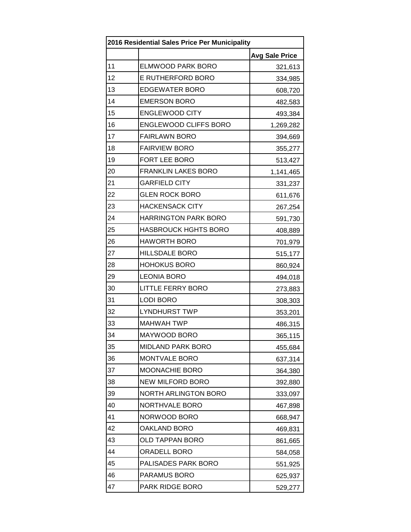| 2016 Residential Sales Price Per Municipality |                             |                       |
|-----------------------------------------------|-----------------------------|-----------------------|
|                                               |                             | <b>Avg Sale Price</b> |
| 11                                            | ELMWOOD PARK BORO           | 321,613               |
| 12                                            | E RUTHERFORD BORO           | 334,985               |
| 13                                            | <b>EDGEWATER BORO</b>       | 608,720               |
| 14                                            | <b>EMERSON BORO</b>         | 482,583               |
| 15                                            | <b>ENGLEWOOD CITY</b>       | 493,384               |
| 16                                            | ENGLEWOOD CLIFFS BORO       | 1,269,282             |
| 17                                            | <b>FAIRLAWN BORO</b>        | 394,669               |
| 18                                            | <b>FAIRVIEW BORO</b>        | 355,277               |
| 19                                            | FORT LEE BORO               | 513,427               |
| 20                                            | <b>FRANKLIN LAKES BORO</b>  | 1,141,465             |
| 21                                            | <b>GARFIELD CITY</b>        | 331,237               |
| 22                                            | <b>GLEN ROCK BORO</b>       | 611,676               |
| 23                                            | <b>HACKENSACK CITY</b>      | 267,254               |
| 24                                            | <b>HARRINGTON PARK BORO</b> | 591,730               |
| 25                                            | <b>HASBROUCK HGHTS BORO</b> | 408,889               |
| 26                                            | <b>HAWORTH BORO</b>         | 701,979               |
| 27                                            | <b>HILLSDALE BORO</b>       | 515,177               |
| 28                                            | <b>HOHOKUS BORO</b>         | 860,924               |
| 29                                            | <b>LEONIA BORO</b>          | 494,018               |
| 30                                            | <b>LITTLE FERRY BORO</b>    | 273,883               |
| 31                                            | <b>LODI BORO</b>            | 308,303               |
| 32                                            | <b>LYNDHURST TWP</b>        | 353,201               |
| 33                                            | <b>MAHWAH TWP</b>           | 486,315               |
| 34                                            | MAYWOOD BORO                | 365,115               |
| 35                                            | <b>MIDLAND PARK BORO</b>    | 455,684               |
| 36                                            | MONTVALE BORO               | 637,314               |
| 37                                            | MOONACHIE BORO              | 364,380               |
| 38                                            | <b>NEW MILFORD BORO</b>     | 392,880               |
| 39                                            | <b>NORTH ARLINGTON BORO</b> | 333,097               |
| 40                                            | NORTHVALE BORO              | 467,898               |
| 41                                            | NORWOOD BORO                | 668,947               |
| 42                                            | OAKLAND BORO                | 469,831               |
| 43                                            | <b>OLD TAPPAN BORO</b>      | 861,665               |
| 44                                            | ORADELL BORO                | 584,058               |
| 45                                            | PALISADES PARK BORO         | 551,925               |
| 46                                            | PARAMUS BORO                | 625,937               |
| 47                                            | PARK RIDGE BORO             | 529,277               |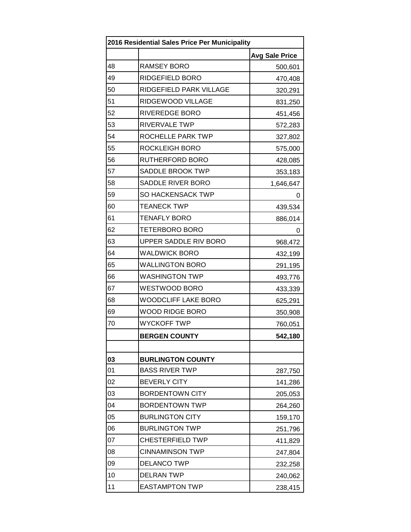| 2016 Residential Sales Price Per Municipality |                            |                       |
|-----------------------------------------------|----------------------------|-----------------------|
|                                               |                            | <b>Avg Sale Price</b> |
| 48                                            | RAMSEY BORO                | 500,601               |
| 49                                            | RIDGEFIELD BORO            | 470,408               |
| 50                                            | RIDGEFIELD PARK VILLAGE    | 320,291               |
| 51                                            | RIDGEWOOD VILLAGE          | 831,250               |
| 52                                            | <b>RIVEREDGE BORO</b>      | 451,456               |
| 53                                            | <b>RIVERVALE TWP</b>       | 572,283               |
| 54                                            | ROCHELLE PARK TWP          | 327,802               |
| 55                                            | ROCKLEIGH BORO             | 575,000               |
| 56                                            | RUTHERFORD BORO            | 428,085               |
| 57                                            | <b>SADDLE BROOK TWP</b>    | 353,183               |
| 58                                            | SADDLE RIVER BORO          | 1,646,647             |
| 59                                            | <b>SO HACKENSACK TWP</b>   | 0                     |
| 60                                            | <b>TEANECK TWP</b>         | 439,534               |
| 61                                            | <b>TENAFLY BORO</b>        | 886,014               |
| 62                                            | <b>TETERBORO BORO</b>      | 0                     |
| 63                                            | UPPER SADDLE RIV BORO      | 968,472               |
| 64                                            | <b>WALDWICK BORO</b>       | 432,199               |
| 65                                            | <b>WALLINGTON BORO</b>     | 291,195               |
| 66                                            | <b>WASHINGTON TWP</b>      | 493,776               |
| 67                                            | <b>WESTWOOD BORO</b>       | 433,339               |
| 68                                            | <b>WOODCLIFF LAKE BORO</b> | 625,291               |
| 69                                            | <b>WOOD RIDGE BORO</b>     | 350,908               |
| 70                                            | <b>WYCKOFF TWP</b>         | 760,051               |
|                                               | <b>BERGEN COUNTY</b>       | 542,180               |
|                                               |                            |                       |
| 03                                            | <b>BURLINGTON COUNTY</b>   |                       |
| 01                                            | <b>BASS RIVER TWP</b>      | 287,750               |
| 02                                            | <b>BEVERLY CITY</b>        | 141,286               |
| 03                                            | <b>BORDENTOWN CITY</b>     | 205,053               |
| 04                                            | <b>BORDENTOWN TWP</b>      | 264,260               |
| 05                                            | <b>BURLINGTON CITY</b>     | 159,170               |
| 06                                            | <b>BURLINGTON TWP</b>      | 251,796               |
| 07                                            | <b>CHESTERFIELD TWP</b>    | 411,829               |
| 08                                            | <b>CINNAMINSON TWP</b>     | 247,804               |
| 09                                            | <b>DELANCO TWP</b>         | 232,258               |
| 10                                            | <b>DELRAN TWP</b>          | 240,062               |
| 11                                            | <b>EASTAMPTON TWP</b>      | 238,415               |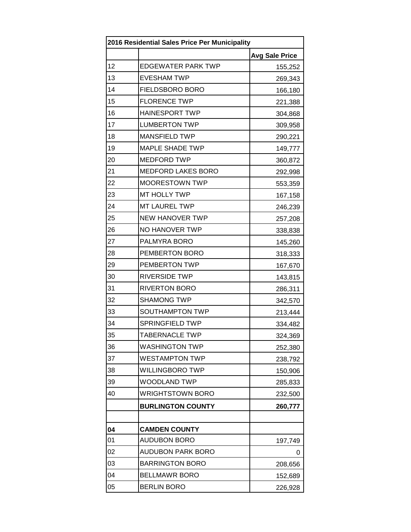| 2016 Residential Sales Price Per Municipality |                           |                       |
|-----------------------------------------------|---------------------------|-----------------------|
|                                               |                           | <b>Avg Sale Price</b> |
| 12                                            | <b>EDGEWATER PARK TWP</b> | 155,252               |
| 13                                            | <b>EVESHAM TWP</b>        | 269,343               |
| 14                                            | <b>FIELDSBORO BORO</b>    | 166,180               |
| 15                                            | <b>FLORENCE TWP</b>       | 221,388               |
| 16                                            | <b>HAINESPORT TWP</b>     | 304,868               |
| 17                                            | <b>LUMBERTON TWP</b>      | 309,958               |
| 18                                            | <b>MANSFIELD TWP</b>      | 290,221               |
| 19                                            | <b>MAPLE SHADE TWP</b>    | 149,777               |
| 20                                            | <b>MEDFORD TWP</b>        | 360,872               |
| 21                                            | <b>MEDFORD LAKES BORO</b> | 292,998               |
| 22                                            | <b>MOORESTOWN TWP</b>     | 553,359               |
| 23                                            | <b>MT HOLLY TWP</b>       | 167,158               |
| 24                                            | MT LAUREL TWP             | 246,239               |
| 25                                            | <b>NEW HANOVER TWP</b>    | 257,208               |
| 26                                            | NO HANOVER TWP            | 338,838               |
| 27                                            | PALMYRA BORO              | 145,260               |
| 28                                            | PEMBERTON BORO            | 318,333               |
| 29                                            | PEMBERTON TWP             | 167,670               |
| 30                                            | <b>RIVERSIDE TWP</b>      | 143,815               |
| 31                                            | <b>RIVERTON BORO</b>      | 286,311               |
| 32                                            | <b>SHAMONG TWP</b>        | 342,570               |
| 33                                            | SOUTHAMPTON TWP           | 213,444               |
| 34                                            | <b>SPRINGFIELD TWP</b>    | 334,482               |
| 35                                            | <b>TABERNACLE TWP</b>     | 324,369               |
| 36                                            | <b>WASHINGTON TWP</b>     | 252,380               |
| 37                                            | <b>WESTAMPTON TWP</b>     | 238,792               |
| 38                                            | <b>WILLINGBORO TWP</b>    | 150,906               |
| 39                                            | <b>WOODLAND TWP</b>       | 285,833               |
| 40                                            | <b>WRIGHTSTOWN BORO</b>   | 232,500               |
|                                               | <b>BURLINGTON COUNTY</b>  | 260,777               |
|                                               |                           |                       |
| 04                                            | <b>CAMDEN COUNTY</b>      |                       |
| 01                                            | <b>AUDUBON BORO</b>       | 197,749               |
| 02                                            | <b>AUDUBON PARK BORO</b>  | 0                     |
| 03                                            | <b>BARRINGTON BORO</b>    | 208,656               |
| 04                                            | <b>BELLMAWR BORO</b>      | 152,689               |
| 05                                            | <b>BERLIN BORO</b>        | 226,928               |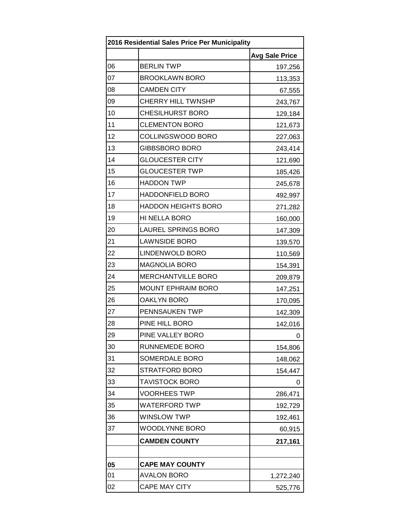| 2016 Residential Sales Price Per Municipality |                            |                       |
|-----------------------------------------------|----------------------------|-----------------------|
|                                               |                            | <b>Avg Sale Price</b> |
| 06                                            | <b>BERLIN TWP</b>          | 197,256               |
| 07                                            | <b>BROOKLAWN BORO</b>      | 113,353               |
| 08                                            | <b>CAMDEN CITY</b>         | 67,555                |
| 09                                            | <b>CHERRY HILL TWNSHP</b>  | 243,767               |
| 10                                            | <b>CHESILHURST BORO</b>    | 129,184               |
| 11                                            | <b>CLEMENTON BORO</b>      | 121,673               |
| 12                                            | COLLINGSWOOD BORO          | 227,063               |
| 13                                            | <b>GIBBSBORO BORO</b>      | 243,414               |
| 14                                            | <b>GLOUCESTER CITY</b>     | 121,690               |
| 15                                            | <b>GLOUCESTER TWP</b>      | 185,426               |
| 16                                            | <b>HADDON TWP</b>          | 245,678               |
| 17                                            | <b>HADDONFIELD BORO</b>    | 492,997               |
| 18                                            | <b>HADDON HEIGHTS BORO</b> | 271,282               |
| 19                                            | HI NELLA BORO              | 160,000               |
| 20                                            | <b>LAUREL SPRINGS BORO</b> | 147,309               |
| 21                                            | <b>LAWNSIDE BORO</b>       | 139,570               |
| 22                                            | LINDENWOLD BORO            | 110,569               |
| 23                                            | <b>MAGNOLIA BORO</b>       | 154,391               |
| 24                                            | MERCHANTVILLE BORO         | 209,879               |
| 25                                            | <b>MOUNT EPHRAIM BORO</b>  | 147,251               |
| 26                                            | <b>OAKLYN BORO</b>         | 170,095               |
| 27                                            | PENNSAUKEN TWP             | 142,309               |
| 28                                            | PINE HILL BORO             | 142,016               |
| 29                                            | PINE VALLEY BORO           | 0                     |
| 30                                            | <b>RUNNEMEDE BORO</b>      | 154,806               |
| 31                                            | SOMERDALE BORO             | 148,062               |
| 32                                            | STRATFORD BORO             | 154,447               |
| 33                                            | <b>TAVISTOCK BORO</b>      | 0                     |
| 34                                            | <b>VOORHEES TWP</b>        | 286,471               |
| 35                                            | <b>WATERFORD TWP</b>       | 192,729               |
| 36                                            | <b>WINSLOW TWP</b>         | 192,461               |
| 37                                            | WOODLYNNE BORO             | 60,915                |
|                                               | <b>CAMDEN COUNTY</b>       | 217,161               |
|                                               |                            |                       |
| 05                                            | <b>CAPE MAY COUNTY</b>     |                       |
| 01                                            | <b>AVALON BORO</b>         | 1,272,240             |
| 02                                            | CAPE MAY CITY              | 525,776               |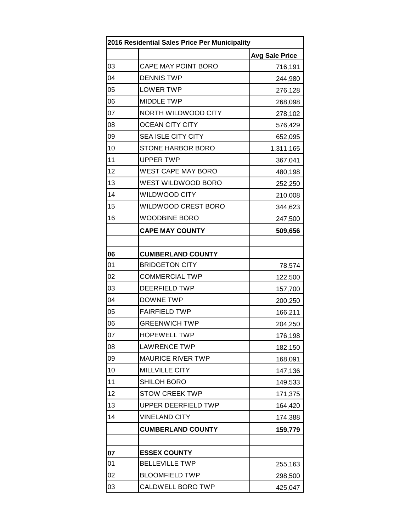| 2016 Residential Sales Price Per Municipality |                            |                       |
|-----------------------------------------------|----------------------------|-----------------------|
|                                               |                            | <b>Avg Sale Price</b> |
| 03                                            | CAPE MAY POINT BORO        | 716,191               |
| 04                                            | <b>DENNIS TWP</b>          | 244,980               |
| 05                                            | <b>LOWER TWP</b>           | 276,128               |
| 06                                            | <b>MIDDLE TWP</b>          | 268,098               |
| 07                                            | NORTH WILDWOOD CITY        | 278,102               |
| 08                                            | <b>OCEAN CITY CITY</b>     | 576,429               |
| 09                                            | <b>SEA ISLE CITY CITY</b>  | 652,095               |
| 10                                            | STONE HARBOR BORO          | 1,311,165             |
| 11                                            | <b>UPPER TWP</b>           | 367,041               |
| 12                                            | <b>WEST CAPE MAY BORO</b>  | 480,198               |
| 13                                            | WEST WILDWOOD BORO         | 252,250               |
| 14                                            | <b>WILDWOOD CITY</b>       | 210,008               |
| 15                                            | WILDWOOD CREST BORO        | 344,623               |
| 16                                            | <b>WOODBINE BORO</b>       | 247,500               |
|                                               | <b>CAPE MAY COUNTY</b>     | 509,656               |
|                                               |                            |                       |
| 06                                            | <b>CUMBERLAND COUNTY</b>   |                       |
| 01                                            | <b>BRIDGETON CITY</b>      | 78,574                |
| 02                                            | <b>COMMERCIAL TWP</b>      | 122,500               |
| 03                                            | <b>DEERFIELD TWP</b>       | 157,700               |
| 04                                            | <b>DOWNE TWP</b>           | 200,250               |
| 05                                            | <b>FAIRFIELD TWP</b>       | 166,211               |
| 06                                            | <b>GREENWICH TWP</b>       | 204,250               |
| 07                                            | <b>HOPEWELL TWP</b>        | 176,198               |
| 08                                            | <b>LAWRENCE TWP</b>        | 182,150               |
| 09                                            | <b>MAURICE RIVER TWP</b>   | 168,091               |
| 10                                            | <b>MILLVILLE CITY</b>      | 147,136               |
| 11                                            | SHILOH BORO                | 149,533               |
| 12                                            | <b>STOW CREEK TWP</b>      | 171,375               |
| 13                                            | <b>UPPER DEERFIELD TWP</b> | 164,420               |
| 14                                            | <b>VINELAND CITY</b>       | 174,388               |
|                                               | <b>CUMBERLAND COUNTY</b>   | 159,779               |
|                                               |                            |                       |
| 07                                            | <b>ESSEX COUNTY</b>        |                       |
| 01                                            | <b>BELLEVILLE TWP</b>      | 255,163               |
| 02                                            | <b>BLOOMFIELD TWP</b>      | 298,500               |
| 03                                            | CALDWELL BORO TWP          | 425,047               |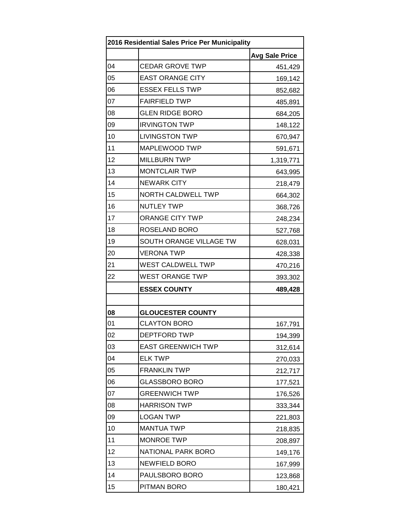| 2016 Residential Sales Price Per Municipality |                           |                       |
|-----------------------------------------------|---------------------------|-----------------------|
|                                               |                           | <b>Avg Sale Price</b> |
| 04                                            | <b>CEDAR GROVE TWP</b>    | 451,429               |
| 05                                            | <b>EAST ORANGE CITY</b>   | 169,142               |
| 06                                            | <b>ESSEX FELLS TWP</b>    | 852,682               |
| 07                                            | <b>FAIRFIELD TWP</b>      | 485,891               |
| 08                                            | <b>GLEN RIDGE BORO</b>    | 684,205               |
| 09                                            | <b>IRVINGTON TWP</b>      | 148,122               |
| 10                                            | <b>LIVINGSTON TWP</b>     | 670,947               |
| 11                                            | MAPLEWOOD TWP             | 591,671               |
| 12                                            | <b>MILLBURN TWP</b>       | 1,319,771             |
| 13                                            | <b>MONTCLAIR TWP</b>      | 643,995               |
| 14                                            | <b>NEWARK CITY</b>        | 218,479               |
| 15                                            | <b>NORTH CALDWELL TWP</b> | 664,302               |
| 16                                            | <b>NUTLEY TWP</b>         | 368,726               |
| 17                                            | <b>ORANGE CITY TWP</b>    | 248,234               |
| 18                                            | ROSELAND BORO             | 527,768               |
| 19                                            | SOUTH ORANGE VILLAGE TW   | 628,031               |
| 20                                            | <b>VERONA TWP</b>         | 428,338               |
| 21                                            | WEST CALDWELL TWP         | 470,216               |
| 22                                            | <b>WEST ORANGE TWP</b>    | 393,302               |
|                                               | <b>ESSEX COUNTY</b>       | 489,428               |
|                                               |                           |                       |
| 08                                            | <b>GLOUCESTER COUNTY</b>  |                       |
| 01                                            | <b>CLAYTON BORO</b>       | 167,791               |
| 02                                            | DEPTFORD TWP              | 194,399               |
| 03                                            | <b>EAST GREENWICH TWP</b> | 312,614               |
| 04                                            | <b>ELK TWP</b>            | 270,033               |
| 05                                            | <b>FRANKLIN TWP</b>       | 212,717               |
| 06                                            | <b>GLASSBORO BORO</b>     | 177,521               |
| 07                                            | <b>GREENWICH TWP</b>      | 176,526               |
| 08                                            | <b>HARRISON TWP</b>       | 333,344               |
| 09                                            | <b>LOGAN TWP</b>          | 221,803               |
| 10                                            | <b>MANTUA TWP</b>         | 218,835               |
| 11                                            | <b>MONROE TWP</b>         | 208,897               |
| 12                                            | NATIONAL PARK BORO        | 149,176               |
| 13                                            | <b>NEWFIELD BORO</b>      | 167,999               |
| 14                                            | PAULSBORO BORO            | 123,868               |
| 15                                            | PITMAN BORO               | 180,421               |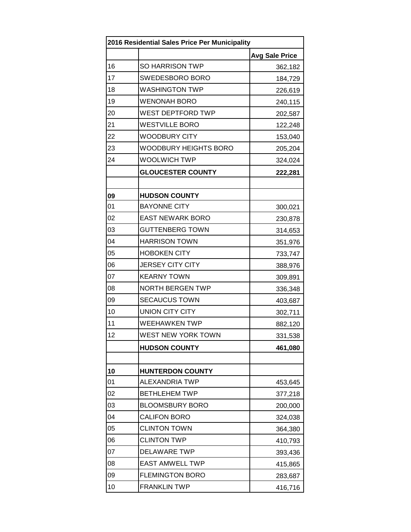| 2016 Residential Sales Price Per Municipality |                          |                       |
|-----------------------------------------------|--------------------------|-----------------------|
|                                               |                          | <b>Avg Sale Price</b> |
| 16                                            | SO HARRISON TWP          | 362,182               |
| 17                                            | SWEDESBORO BORO          | 184,729               |
| 18                                            | <b>WASHINGTON TWP</b>    | 226,619               |
| 19                                            | <b>WENONAH BORO</b>      | 240,115               |
| 20                                            | WEST DEPTFORD TWP        | 202,587               |
| 21                                            | <b>WESTVILLE BORO</b>    | 122,248               |
| 22                                            | <b>WOODBURY CITY</b>     | 153,040               |
| 23                                            | WOODBURY HEIGHTS BORO    | 205,204               |
| 24                                            | <b>WOOLWICH TWP</b>      | 324,024               |
|                                               | <b>GLOUCESTER COUNTY</b> | 222,281               |
|                                               |                          |                       |
| 09                                            | <b>HUDSON COUNTY</b>     |                       |
| 01                                            | <b>BAYONNE CITY</b>      | 300,021               |
| 02                                            | <b>EAST NEWARK BORO</b>  | 230,878               |
| 03                                            | <b>GUTTENBERG TOWN</b>   | 314,653               |
| 04                                            | <b>HARRISON TOWN</b>     | 351,976               |
| 05                                            | <b>HOBOKEN CITY</b>      | 733,747               |
| 06                                            | <b>JERSEY CITY CITY</b>  | 388,976               |
| 07                                            | <b>KEARNY TOWN</b>       | 309,891               |
| 08                                            | <b>NORTH BERGEN TWP</b>  | 336,348               |
| 09                                            | <b>SECAUCUS TOWN</b>     | 403,687               |
| 10                                            | <b>UNION CITY CITY</b>   | 302,711               |
| 11                                            | <b>WEEHAWKEN TWP</b>     | 882,120               |
| 12                                            | WEST NEW YORK TOWN       | 331,538               |
|                                               | <b>HUDSON COUNTY</b>     | 461,080               |
|                                               |                          |                       |
| 10                                            | <b>HUNTERDON COUNTY</b>  |                       |
| 01                                            | ALEXANDRIA TWP           | 453,645               |
| 02                                            | <b>BETHLEHEM TWP</b>     | 377,218               |
| 03                                            | <b>BLOOMSBURY BORO</b>   | 200,000               |
| 04                                            | <b>CALIFON BORO</b>      | 324,038               |
| 05                                            | <b>CLINTON TOWN</b>      | 364,380               |
| 06                                            | <b>CLINTON TWP</b>       | 410,793               |
| 07                                            | <b>DELAWARE TWP</b>      | 393,436               |
| 08                                            | <b>EAST AMWELL TWP</b>   | 415,865               |
| 09                                            | <b>FLEMINGTON BORO</b>   | 283,687               |
| 10                                            | <b>FRANKLIN TWP</b>      | 416,716               |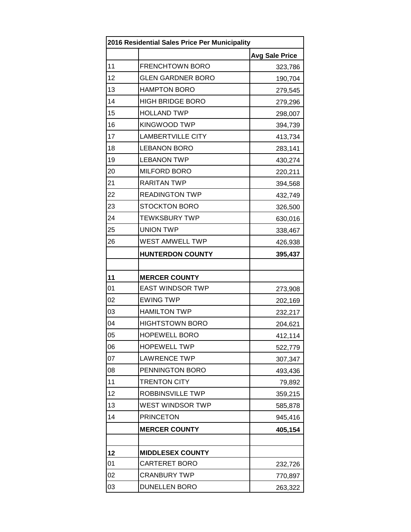| 2016 Residential Sales Price Per Municipality |                          |                       |
|-----------------------------------------------|--------------------------|-----------------------|
|                                               |                          | <b>Avg Sale Price</b> |
| 11                                            | <b>FRENCHTOWN BORO</b>   | 323,786               |
| 12                                            | <b>GLEN GARDNER BORO</b> | 190,704               |
| 13                                            | <b>HAMPTON BORO</b>      | 279,545               |
| 14                                            | <b>HIGH BRIDGE BORO</b>  | 279,296               |
| 15                                            | <b>HOLLAND TWP</b>       | 298,007               |
| 16                                            | <b>KINGWOOD TWP</b>      | 394,739               |
| 17                                            | <b>LAMBERTVILLE CITY</b> | 413,734               |
| 18                                            | <b>LEBANON BORO</b>      | 283,141               |
| 19                                            | <b>LEBANON TWP</b>       | 430,274               |
| 20                                            | <b>MILFORD BORO</b>      | 220,211               |
| 21                                            | <b>RARITAN TWP</b>       | 394,568               |
| 22                                            | <b>READINGTON TWP</b>    | 432,749               |
| 23                                            | <b>STOCKTON BORO</b>     | 326,500               |
| 24                                            | <b>TEWKSBURY TWP</b>     | 630,016               |
| 25                                            | <b>UNION TWP</b>         | 338,467               |
| 26                                            | WEST AMWELL TWP          | 426,938               |
|                                               | <b>HUNTERDON COUNTY</b>  | 395,437               |
|                                               |                          |                       |
| 11                                            | <b>MERCER COUNTY</b>     |                       |
| 01                                            | <b>EAST WINDSOR TWP</b>  | 273,908               |
| 02                                            | <b>EWING TWP</b>         | 202,169               |
| 03                                            | <b>HAMILTON TWP</b>      | 232,217               |
| 04                                            | <b>HIGHTSTOWN BORO</b>   | 204,621               |
| 05                                            | <b>HOPEWELL BORO</b>     | 412,114               |
| 06                                            | <b>HOPEWELL TWP</b>      | 522,779               |
| 07                                            | <b>LAWRENCE TWP</b>      | 307,347               |
| 08                                            | PENNINGTON BORO          | 493,436               |
| 11                                            | <b>TRENTON CITY</b>      | 79,892                |
| 12                                            | ROBBINSVILLE TWP         | 359,215               |
| 13                                            | WEST WINDSOR TWP         | 585,878               |
| 14                                            | <b>PRINCETON</b>         | 945,416               |
|                                               | <b>MERCER COUNTY</b>     | 405,154               |
|                                               |                          |                       |
| 12                                            | <b>MIDDLESEX COUNTY</b>  |                       |
| 01                                            | CARTERET BORO            | 232,726               |
| 02                                            | <b>CRANBURY TWP</b>      | 770,897               |
| 03                                            | <b>DUNELLEN BORO</b>     | 263,322               |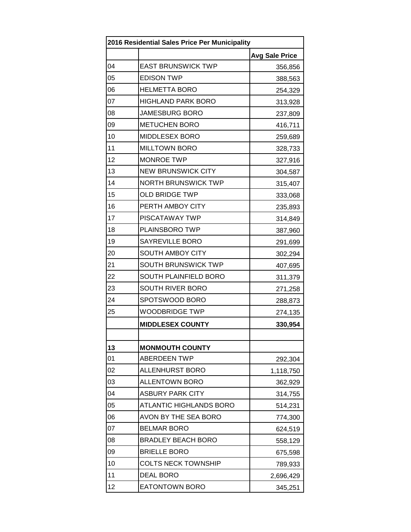| 2016 Residential Sales Price Per Municipality |                                |                       |
|-----------------------------------------------|--------------------------------|-----------------------|
|                                               |                                | <b>Avg Sale Price</b> |
| 04                                            | <b>EAST BRUNSWICK TWP</b>      | 356,856               |
| 05                                            | <b>EDISON TWP</b>              | 388,563               |
| 06                                            | <b>HELMETTA BORO</b>           | 254,329               |
| 07                                            | <b>HIGHLAND PARK BORO</b>      | 313,928               |
| 08                                            | <b>JAMESBURG BORO</b>          | 237,809               |
| 09                                            | <b>METUCHEN BORO</b>           | 416,711               |
| 10                                            | <b>MIDDLESEX BORO</b>          | 259,689               |
| 11                                            | <b>MILLTOWN BORO</b>           | 328,733               |
| 12                                            | <b>MONROE TWP</b>              | 327,916               |
| 13                                            | <b>NEW BRUNSWICK CITY</b>      | 304,587               |
| 14                                            | <b>NORTH BRUNSWICK TWP</b>     | 315,407               |
| 15                                            | <b>OLD BRIDGE TWP</b>          | 333,068               |
| 16                                            | PERTH AMBOY CITY               | 235,893               |
| 17                                            | <b>PISCATAWAY TWP</b>          | 314,849               |
| 18                                            | PLAINSBORO TWP                 | 387,960               |
| 19                                            | <b>SAYREVILLE BORO</b>         | 291,699               |
| 20                                            | <b>SOUTH AMBOY CITY</b>        | 302,294               |
| 21                                            | <b>SOUTH BRUNSWICK TWP</b>     | 407,695               |
| 22                                            | SOUTH PLAINFIELD BORO          | 311,379               |
| 23                                            | SOUTH RIVER BORO               | 271,258               |
| 24                                            | SPOTSWOOD BORO                 | 288,873               |
| 25                                            | <b>WOODBRIDGE TWP</b>          | 274,135               |
|                                               | <b>MIDDLESEX COUNTY</b>        | 330,954               |
|                                               |                                |                       |
| 13                                            | <b>MONMOUTH COUNTY</b>         |                       |
| 01                                            | <b>ABERDEEN TWP</b>            | 292,304               |
| 02                                            | <b>ALLENHURST BORO</b>         | 1,118,750             |
| 03                                            | <b>ALLENTOWN BORO</b>          | 362,929               |
| 04                                            | <b>ASBURY PARK CITY</b>        | 314,755               |
| 05                                            | <b>ATLANTIC HIGHLANDS BORO</b> | 514,231               |
| 06                                            | AVON BY THE SEA BORO           | 774,300               |
| 07                                            | <b>BELMAR BORO</b>             | 624,519               |
| 08                                            | <b>BRADLEY BEACH BORO</b>      | 558,129               |
| 09                                            | <b>BRIELLE BORO</b>            | 675,598               |
| 10                                            | <b>COLTS NECK TOWNSHIP</b>     | 789,933               |
| 11                                            | <b>DEAL BORO</b>               | 2,696,429             |
| 12                                            | <b>EATONTOWN BORO</b>          | 345,251               |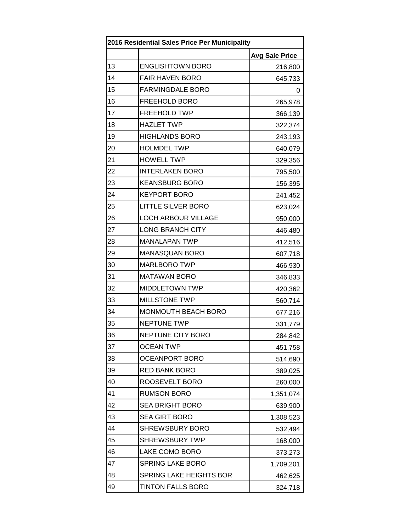| 2016 Residential Sales Price Per Municipality |                                |                       |
|-----------------------------------------------|--------------------------------|-----------------------|
|                                               |                                | <b>Avg Sale Price</b> |
| 13                                            | <b>ENGLISHTOWN BORO</b>        | 216,800               |
| 14                                            | <b>FAIR HAVEN BORO</b>         | 645,733               |
| 15                                            | <b>FARMINGDALE BORO</b>        | 0                     |
| 16                                            | FREEHOLD BORO                  | 265,978               |
| 17                                            | <b>FREEHOLD TWP</b>            | 366,139               |
| 18                                            | <b>HAZLET TWP</b>              | 322,374               |
| 19                                            | <b>HIGHLANDS BORO</b>          | 243,193               |
| 20                                            | <b>HOLMDEL TWP</b>             | 640,079               |
| 21                                            | <b>HOWELL TWP</b>              | 329,356               |
| 22                                            | <b>INTERLAKEN BORO</b>         | 795,500               |
| 23                                            | <b>KEANSBURG BORO</b>          | 156,395               |
| 24                                            | <b>KEYPORT BORO</b>            | 241,452               |
| 25                                            | <b>LITTLE SILVER BORO</b>      | 623,024               |
| 26                                            | <b>LOCH ARBOUR VILLAGE</b>     | 950,000               |
| 27                                            | <b>LONG BRANCH CITY</b>        | 446,480               |
| 28                                            | <b>MANALAPAN TWP</b>           | 412,516               |
| 29                                            | <b>MANASQUAN BORO</b>          | 607,718               |
| 30                                            | <b>MARLBORO TWP</b>            | 466,930               |
| 31                                            | <b>MATAWAN BORO</b>            | 346,833               |
| 32                                            | MIDDLETOWN TWP                 | 420,362               |
| 33                                            | <b>MILLSTONE TWP</b>           | 560,714               |
| 34                                            | MONMOUTH BEACH BORO            | 677,216               |
| 35                                            | <b>NEPTUNE TWP</b>             | 331,779               |
| 36                                            | NEPTUNE CITY BORO              | 284,842               |
| 37                                            | <b>OCEAN TWP</b>               | 451,758               |
| 38                                            | OCEANPORT BORO                 | 514,690               |
| 39                                            | <b>RED BANK BORO</b>           | 389,025               |
| 40                                            | ROOSEVELT BORO                 | 260,000               |
| 41                                            | <b>RUMSON BORO</b>             | 1,351,074             |
| 42                                            | <b>SEA BRIGHT BORO</b>         | 639,900               |
| 43                                            | <b>SEA GIRT BORO</b>           | 1,308,523             |
| 44                                            | <b>SHREWSBURY BORO</b>         | 532,494               |
| 45                                            | <b>SHREWSBURY TWP</b>          | 168,000               |
| 46                                            | LAKE COMO BORO                 | 373,273               |
| 47                                            | <b>SPRING LAKE BORO</b>        | 1,709,201             |
| 48                                            | <b>SPRING LAKE HEIGHTS BOR</b> | 462,625               |
| 49                                            | <b>TINTON FALLS BORO</b>       | 324,718               |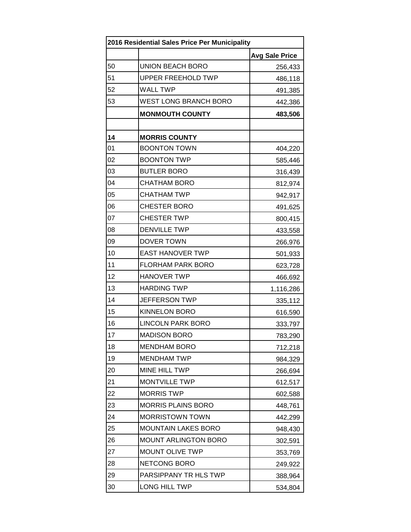| 2016 Residential Sales Price Per Municipality |                              |                       |
|-----------------------------------------------|------------------------------|-----------------------|
|                                               |                              | <b>Avg Sale Price</b> |
| 50                                            | <b>UNION BEACH BORO</b>      | 256,433               |
| 51                                            | <b>UPPER FREEHOLD TWP</b>    | 486,118               |
| 52                                            | <b>WALL TWP</b>              | 491,385               |
| 53                                            | <b>WEST LONG BRANCH BORO</b> | 442,386               |
|                                               | <b>MONMOUTH COUNTY</b>       | 483,506               |
|                                               |                              |                       |
| 14                                            | <b>MORRIS COUNTY</b>         |                       |
| 01                                            | <b>BOONTON TOWN</b>          | 404,220               |
| 02                                            | <b>BOONTON TWP</b>           | 585,446               |
| 03                                            | <b>BUTLER BORO</b>           | 316,439               |
| 04                                            | <b>CHATHAM BORO</b>          | 812,974               |
| 05                                            | <b>CHATHAM TWP</b>           | 942,917               |
| 06                                            | <b>CHESTER BORO</b>          | 491,625               |
| 07                                            | <b>CHESTER TWP</b>           | 800,415               |
| 08                                            | <b>DENVILLE TWP</b>          | 433,558               |
| 09                                            | DOVER TOWN                   | 266,976               |
| 10                                            | <b>EAST HANOVER TWP</b>      | 501,933               |
| 11                                            | <b>FLORHAM PARK BORO</b>     | 623,728               |
| 12                                            | <b>HANOVER TWP</b>           | 466,692               |
| 13                                            | <b>HARDING TWP</b>           | 1,116,286             |
| 14                                            | <b>JEFFERSON TWP</b>         | 335,112               |
| 15                                            | <b>KINNELON BORO</b>         | 616,590               |
| 16                                            | <b>LINCOLN PARK BORO</b>     | 333,797               |
| 17                                            | <b>MADISON BORO</b>          | 783,290               |
| 18                                            | <b>MENDHAM BORO</b>          | 712,218               |
| 19                                            | <b>MENDHAM TWP</b>           | 984,329               |
| 20                                            | MINE HILL TWP                | 266,694               |
| 21                                            | <b>MONTVILLE TWP</b>         | 612,517               |
| 22                                            | <b>MORRIS TWP</b>            | 602,588               |
| 23                                            | <b>MORRIS PLAINS BORO</b>    | 448,761               |
| 24                                            | <b>MORRISTOWN TOWN</b>       | 442,299               |
| 25                                            | <b>MOUNTAIN LAKES BORO</b>   | 948,430               |
| 26                                            | <b>MOUNT ARLINGTON BORO</b>  | 302,591               |
| 27                                            | <b>MOUNT OLIVE TWP</b>       | 353,769               |
| 28                                            | NETCONG BORO                 | 249,922               |
| 29                                            | PARSIPPANY TR HLS TWP        | 388,964               |
| 30                                            | LONG HILL TWP                | 534,804               |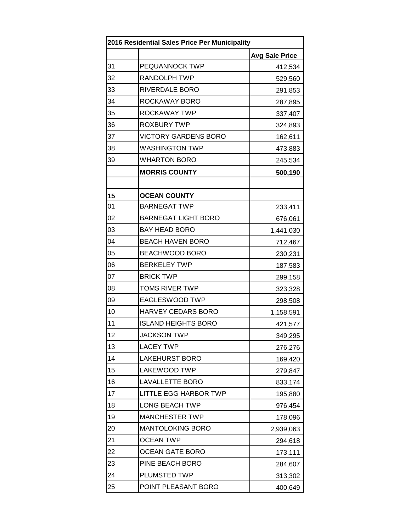| 2016 Residential Sales Price Per Municipality |                             |                       |  |
|-----------------------------------------------|-----------------------------|-----------------------|--|
|                                               |                             | <b>Avg Sale Price</b> |  |
| 31                                            | PEQUANNOCK TWP              | 412,534               |  |
| 32                                            | <b>RANDOLPH TWP</b>         | 529,560               |  |
| 33                                            | RIVERDALE BORO              | 291,853               |  |
| 34                                            | ROCKAWAY BORO               | 287,895               |  |
| 35                                            | ROCKAWAY TWP                | 337,407               |  |
| 36                                            | <b>ROXBURY TWP</b>          | 324,893               |  |
| 37                                            | <b>VICTORY GARDENS BORO</b> | 162,611               |  |
| 38                                            | <b>WASHINGTON TWP</b>       | 473,883               |  |
| 39                                            | <b>WHARTON BORO</b>         | 245,534               |  |
|                                               | <b>MORRIS COUNTY</b>        | 500,190               |  |
|                                               |                             |                       |  |
| 15                                            | <b>OCEAN COUNTY</b>         |                       |  |
| 01                                            | <b>BARNEGAT TWP</b>         | 233,411               |  |
| 02                                            | <b>BARNEGAT LIGHT BORO</b>  | 676,061               |  |
| 03                                            | <b>BAY HEAD BORO</b>        | 1,441,030             |  |
| 04                                            | <b>BEACH HAVEN BORO</b>     | 712,467               |  |
| 05                                            | BEACHWOOD BORO              | 230,231               |  |
| 06                                            | <b>BERKELEY TWP</b>         | 187,583               |  |
| 07                                            | <b>BRICK TWP</b>            | 299,158               |  |
| 08                                            | <b>TOMS RIVER TWP</b>       | 323,328               |  |
| 09                                            | EAGLESWOOD TWP              | 298,508               |  |
| 10                                            | HARVEY CEDARS BORO          | 1,158,591             |  |
| 11                                            | <b>ISLAND HEIGHTS BORO</b>  | 421,577               |  |
| 12                                            | <b>JACKSON TWP</b>          | 349,295               |  |
| 13                                            | <b>LACEY TWP</b>            | 276,276               |  |
| 14                                            | <b>LAKEHURST BORO</b>       | 169,420               |  |
| 15                                            | LAKEWOOD TWP                | 279,847               |  |
| 16                                            | <b>LAVALLETTE BORO</b>      | 833,174               |  |
| 17                                            | LITTLE EGG HARBOR TWP       | 195,880               |  |
| 18                                            | <b>LONG BEACH TWP</b>       | 976,454               |  |
| 19                                            | <b>MANCHESTER TWP</b>       | 178,096               |  |
| 20                                            | <b>MANTOLOKING BORO</b>     | 2,939,063             |  |
| 21                                            | <b>OCEAN TWP</b>            | 294,618               |  |
| 22                                            | <b>OCEAN GATE BORO</b>      | 173,111               |  |
| 23                                            | PINE BEACH BORO             | 284,607               |  |
| 24                                            | PLUMSTED TWP                | 313,302               |  |
| 25                                            | POINT PLEASANT BORO         | 400,649               |  |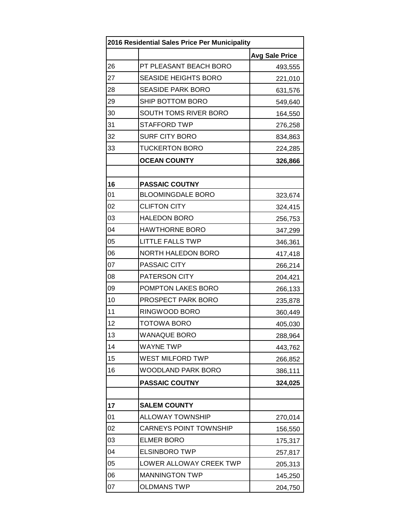| 2016 Residential Sales Price Per Municipality |                               |                       |  |
|-----------------------------------------------|-------------------------------|-----------------------|--|
|                                               |                               | <b>Avg Sale Price</b> |  |
| 26                                            | PT PLEASANT BEACH BORO        | 493,555               |  |
| 27                                            | <b>SEASIDE HEIGHTS BORO</b>   | 221,010               |  |
| 28                                            | <b>SEASIDE PARK BORO</b>      | 631,576               |  |
| 29                                            | SHIP BOTTOM BORO              | 549,640               |  |
| 30                                            | SOUTH TOMS RIVER BORO         | 164,550               |  |
| 31                                            | <b>STAFFORD TWP</b>           | 276,258               |  |
| 32                                            | <b>SURF CITY BORO</b>         | 834,863               |  |
| 33                                            | <b>TUCKERTON BORO</b>         | 224,285               |  |
|                                               | <b>OCEAN COUNTY</b>           | 326,866               |  |
|                                               |                               |                       |  |
| 16                                            | <b>PASSAIC COUTNY</b>         |                       |  |
| 01                                            | <b>BLOOMINGDALE BORO</b>      | 323,674               |  |
| 02                                            | <b>CLIFTON CITY</b>           | 324,415               |  |
| 03                                            | <b>HALEDON BORO</b>           | 256,753               |  |
| 04                                            | <b>HAWTHORNE BORO</b>         | 347,299               |  |
| 05                                            | <b>LITTLE FALLS TWP</b>       | 346,361               |  |
| 06                                            | <b>NORTH HALEDON BORO</b>     | 417,418               |  |
| 07                                            | PASSAIC CITY                  | 266,214               |  |
| 08                                            | PATERSON CITY                 | 204,421               |  |
| 09                                            | POMPTON LAKES BORO            | 266,133               |  |
| 10                                            | PROSPECT PARK BORO            | 235,878               |  |
| 11                                            | RINGWOOD BORO                 | 360,449               |  |
| 12                                            | <b>TOTOWA BORO</b>            | 405,030               |  |
| 13                                            | <b>WANAQUE BORO</b>           | 288,964               |  |
| 14                                            | <b>WAYNE TWP</b>              | 443,762               |  |
| 15                                            | WEST MILFORD TWP              | 266,852               |  |
| 16                                            | <b>WOODLAND PARK BORO</b>     | 386,111               |  |
|                                               | <b>PASSAIC COUTNY</b>         | 324,025               |  |
|                                               |                               |                       |  |
| 17                                            | <b>SALEM COUNTY</b>           |                       |  |
| 01                                            | <b>ALLOWAY TOWNSHIP</b>       | 270,014               |  |
| 02                                            | <b>CARNEYS POINT TOWNSHIP</b> | 156,550               |  |
| 03                                            | <b>ELMER BORO</b>             | 175,317               |  |
| 04                                            | <b>ELSINBORO TWP</b>          | 257,817               |  |
| 05                                            | LOWER ALLOWAY CREEK TWP       | 205,313               |  |
| 06                                            | <b>MANNINGTON TWP</b>         | 145,250               |  |
| 07                                            | <b>OLDMANS TWP</b>            | 204,750               |  |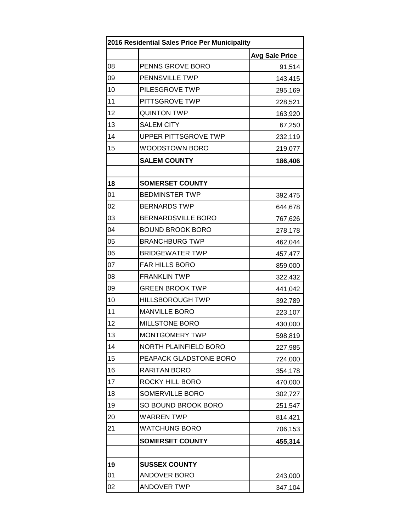| 2016 Residential Sales Price Per Municipality |                              |                       |
|-----------------------------------------------|------------------------------|-----------------------|
|                                               |                              | <b>Avg Sale Price</b> |
| 08                                            | PENNS GROVE BORO             | 91,514                |
| 09                                            | PENNSVILLE TWP               | 143,415               |
| 10                                            | PILESGROVE TWP               | 295,169               |
| 11                                            | PITTSGROVE TWP               | 228,521               |
| 12                                            | <b>QUINTON TWP</b>           | 163,920               |
| 13                                            | <b>SALEM CITY</b>            | 67,250                |
| 14                                            | <b>UPPER PITTSGROVE TWP</b>  | 232,119               |
| 15                                            | <b>WOODSTOWN BORO</b>        | 219,077               |
|                                               | <b>SALEM COUNTY</b>          | 186,406               |
|                                               |                              |                       |
| 18                                            | <b>SOMERSET COUNTY</b>       |                       |
| 01                                            | <b>BEDMINSTER TWP</b>        | 392,475               |
| 02                                            | <b>BERNARDS TWP</b>          | 644,678               |
| 03                                            | <b>BERNARDSVILLE BORO</b>    | 767,626               |
| 04                                            | <b>BOUND BROOK BORO</b>      | 278,178               |
| 05                                            | <b>BRANCHBURG TWP</b>        | 462,044               |
| 06                                            | <b>BRIDGEWATER TWP</b>       | 457,477               |
| 07                                            | FAR HILLS BORO               | 859,000               |
| 08                                            | <b>FRANKLIN TWP</b>          | 322,432               |
| 09                                            | <b>GREEN BROOK TWP</b>       | 441,042               |
| 10                                            | <b>HILLSBOROUGH TWP</b>      | 392,789               |
| 11                                            | <b>MANVILLE BORO</b>         | 223,107               |
| 12                                            | <b>MILLSTONE BORO</b>        | 430,000               |
| 13                                            | MONTGOMERY TWP               | 598,819               |
| 14                                            | <b>NORTH PLAINFIELD BORO</b> | 227,985               |
| 15                                            | PEAPACK GLADSTONE BORO       | 724,000               |
| 16                                            | RARITAN BORO                 | 354,178               |
| 17                                            | ROCKY HILL BORO              | 470,000               |
| 18                                            | SOMERVILLE BORO              | 302,727               |
| 19                                            | SO BOUND BROOK BORO          | 251,547               |
| 20                                            | <b>WARREN TWP</b>            | 814,421               |
| 21                                            | <b>WATCHUNG BORO</b>         | 706,153               |
|                                               | <b>SOMERSET COUNTY</b>       | 455,314               |
|                                               |                              |                       |
| 19                                            | <b>SUSSEX COUNTY</b>         |                       |
| 01                                            | <b>ANDOVER BORO</b>          | 243,000               |
| 02                                            | <b>ANDOVER TWP</b>           | 347,104               |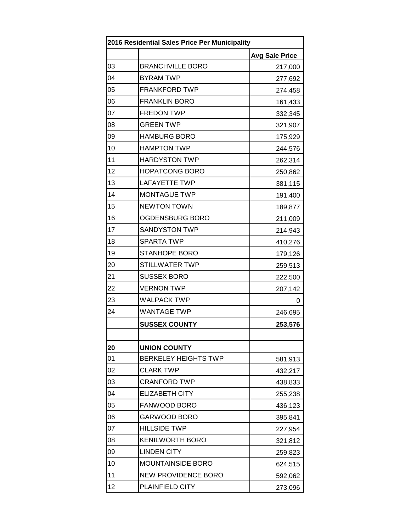| 2016 Residential Sales Price Per Municipality |                             |                       |  |
|-----------------------------------------------|-----------------------------|-----------------------|--|
|                                               |                             | <b>Avg Sale Price</b> |  |
| 03                                            | <b>BRANCHVILLE BORO</b>     | 217,000               |  |
| 04                                            | <b>BYRAM TWP</b>            | 277,692               |  |
| 05                                            | <b>FRANKFORD TWP</b>        | 274,458               |  |
| 06                                            | <b>FRANKLIN BORO</b>        | 161,433               |  |
| 07                                            | <b>FREDON TWP</b>           | 332,345               |  |
| 08                                            | <b>GREEN TWP</b>            | 321,907               |  |
| 09                                            | <b>HAMBURG BORO</b>         | 175,929               |  |
| 10                                            | <b>HAMPTON TWP</b>          | 244,576               |  |
| 11                                            | <b>HARDYSTON TWP</b>        | 262,314               |  |
| 12                                            | <b>HOPATCONG BORO</b>       | 250,862               |  |
| 13                                            | <b>LAFAYETTE TWP</b>        | 381,115               |  |
| 14                                            | <b>MONTAGUE TWP</b>         | 191,400               |  |
| 15                                            | <b>NEWTON TOWN</b>          | 189,877               |  |
| 16                                            | OGDENSBURG BORO             | 211,009               |  |
| 17                                            | <b>SANDYSTON TWP</b>        | 214,943               |  |
| 18                                            | <b>SPARTA TWP</b>           | 410,276               |  |
| 19                                            | <b>STANHOPE BORO</b>        | 179,126               |  |
| 20                                            | <b>STILLWATER TWP</b>       | 259,513               |  |
| 21                                            | <b>SUSSEX BORO</b>          | 222,500               |  |
| 22                                            | <b>VERNON TWP</b>           | 207,142               |  |
| 23                                            | <b>WALPACK TWP</b>          | 0                     |  |
| 24                                            | <b>WANTAGE TWP</b>          | 246,695               |  |
|                                               | <b>SUSSEX COUNTY</b>        | 253,576               |  |
|                                               |                             |                       |  |
| 20                                            | <b>UNION COUNTY</b>         |                       |  |
| 01                                            | <b>BERKELEY HEIGHTS TWP</b> | 581,913               |  |
| 02                                            | <b>CLARK TWP</b>            | 432,217               |  |
| 03                                            | <b>CRANFORD TWP</b>         | 438,833               |  |
| 04                                            | <b>ELIZABETH CITY</b>       | 255,238               |  |
| 05                                            | FANWOOD BORO                | 436,123               |  |
| 06                                            | GARWOOD BORO                | 395,841               |  |
| 07                                            | <b>HILLSIDE TWP</b>         | 227,954               |  |
| 08                                            | <b>KENILWORTH BORO</b>      | 321,812               |  |
| 09                                            | <b>LINDEN CITY</b>          | 259,823               |  |
| 10                                            | <b>MOUNTAINSIDE BORO</b>    | 624,515               |  |
| 11                                            | <b>NEW PROVIDENCE BORO</b>  | 592,062               |  |
| 12                                            | PLAINFIELD CITY             | 273,096               |  |